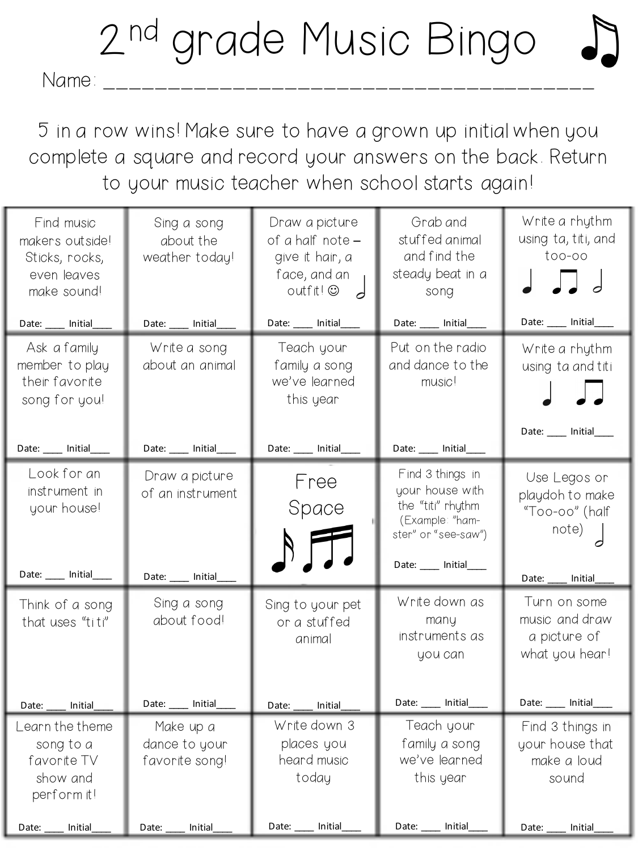## 2<sup>nd</sup> grade Music Bingo

Name: \_\_\_\_\_\_\_\_\_\_\_\_\_\_\_\_\_\_\_\_\_\_\_\_\_\_\_\_\_\_\_\_\_\_\_\_\_\_

5 in a row wins! Make sure to have a grown up initial when you complete a square and record your answers on the back. Return to your music teacher when school starts again!

| Find music<br>makers out side!<br>Sticks, rocks,<br>even leaves<br>make sound! | Sing a song<br>about the<br>weather today!          | Draw a picture<br>of a half note -<br>give it hair, a<br>face, and an<br>outfit@ | Grab and<br>stuffed animal<br>and find the<br>steady beat in a<br>song                                                       | Write a rhythm<br>using ta, titi, and<br>$\text{too-oo}$                                   |
|--------------------------------------------------------------------------------|-----------------------------------------------------|----------------------------------------------------------------------------------|------------------------------------------------------------------------------------------------------------------------------|--------------------------------------------------------------------------------------------|
| Date: ____ Initial_                                                            | Date: _____ Initial_                                | Date: ____ Initial_                                                              | Date: ____ Initial_                                                                                                          | Date: ____ Initial____                                                                     |
| Ask a family<br>member to play<br>their favorite<br>song for you!              | Write a song<br>about an animal                     | Teach your<br>family a song<br>we've learned<br>this year                        | Put on the radio<br>and dance to the<br>music!                                                                               | Write a rhythm<br>using ta and titi                                                        |
| Date: ____ Initial_                                                            | Date: ____ Initial_                                 | Date: ____ Initial                                                               | Date: ____ Initial                                                                                                           | Date: ___ Initial____                                                                      |
| Look for an<br>instrument in<br>your house!<br>Date: ____ Initial              | Draw a picture<br>of an instrument<br>Date: Initial | Free<br>Space                                                                    | Find 3 things in<br>your house with<br>the "titi" rhythm<br>(Example: "ham-<br>ster" or "see-saw")<br>Date: ____ Initial____ | Use Legos or<br>playdoh to make<br>"Too-oo" (half<br>note)<br>Date: _____ Initial          |
| Think of a song<br>that uses "titi"<br>Date: ____ Initial                      | Sing a song<br>about food!<br>Date: _____ Initial_  | Sing to your pet<br>or a stuffed<br>animal<br>Date: ____ Initial                 | Write down as<br>many<br>instruments as<br>you can<br>Date: ____ Initial_                                                    | Turn on some<br>music and draw<br>a picture of<br>what you hear!<br>Date: ____ Initial____ |
| Learn the theme                                                                | Make up a                                           | Write down 3                                                                     | Teach your                                                                                                                   | Find 3 things in                                                                           |
| song to a                                                                      | dance to your                                       | places you                                                                       | family a song                                                                                                                | your house that                                                                            |
| favorite TV                                                                    | favorite song!                                      | heard music                                                                      | we've learned                                                                                                                | make a loud                                                                                |
| show and<br>perform it!                                                        |                                                     | today                                                                            | this year                                                                                                                    | sound                                                                                      |
| Initial<br>Date:                                                               | Initial<br>Date:                                    | Date:<br>Initial                                                                 | Date:<br>Initial                                                                                                             | Date:<br><b>Initial</b>                                                                    |